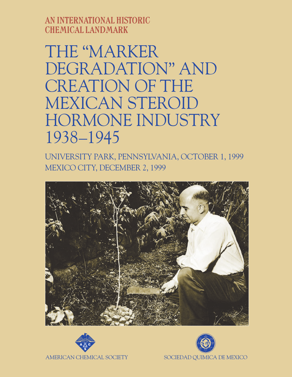AN INTERNATIONAL HISTORIC CHEMICAL LANDMARK

THE "MARKER DEGRADATION" AND CREATION OF THE MEXICAN STEROID HORMONE INDUSTRY 1938–1945

UNIVERSITY PARK, PENNSYLVANIA, OCTOBER 1, 1999 MEXICO CITY, DECEMBER 2, 1999





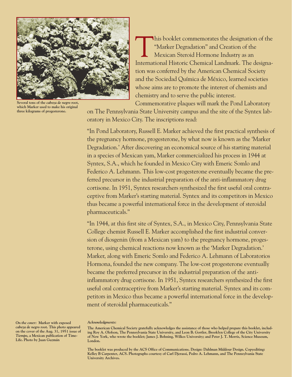

**Several tons of the** *cabeza de negro* **root, which Marker used to make his original three kilograms of progesterone.**

This booklet commemorates the designation of the "Marker Degradation" and Creation of the Mexican Steroid Hormone Industry as an International Historic Chemical Landmark. The designation was conferred by the American Chemical Society and the Sociedad Química de México, learned societies whose aims are to promote the interest of chemists and chemistry and to serve the public interest.

Commemorative plaques will mark the Pond Laboratory on The Pennsylvania State University campus and the site of the Syntex lab-

oratory in Mexico City. The inscriptions read:

"In Pond Laboratory, Russell E. Marker achieved the first practical synthesis of the pregnancy hormone, progesterone, by what now is known as the 'Marker Degradation.' After discovering an economical source of his starting material in a species of Mexican yam, Marker commercialized his process in 1944 at Syntex, S.A., which he founded in Mexico City with Emeric Somlo and Federico A. Lehmann. This low-cost progesterone eventually became the preferred precursor in the industrial preparation of the anti-inflammatory drug cortisone. In 1951, Syntex researchers synthesized the first useful oral contraceptive from Marker's starting material. Syntex and its competitors in Mexico thus became a powerful international force in the development of steroidal pharmaceuticals."

"In 1944, at this first site of Syntex, S.A., in Mexico City, Pennsylvania State College chemist Russell E. Marker accomplished the first industrial conversion of diosgenin (from a Mexican yam) to the pregnancy hormone, progesterone, using chemical reactions now known as the 'Marker Degradation.' Marker, along with Emeric Somlo and Federico A. Lehmann of Laboratorios Hormona, founded the new company. The low-cost progesterone eventually became the preferred precursor in the industrial preparation of the antiinflammatory drug cortisone. In 1951, Syntex researchers synthesized the first useful oral contraceptive from Marker's starting material. Syntex and its competitors in Mexico thus became a powerful international force in the development of steroidal pharmaceuticals."

*Acknowledgments:*

**The booklet was produced by the ACS Office of Communications. Design: Dahlman Middour Design. Copyediting: Kelley B Carpenter, ACS. Photographs courtesy of Carl Djerassi, Pedro A. Lehmann, and The Pennsylvania State University Archives.**

*On the cover:* **Marker with exposed** *cabeza de negro* **root. This photo appeared on the cover of the Aug. 31, 1951 issue of** *Tiempo***, a Mexican publication of Time-Life. Photo by Juan Guzmán**

The American Chemical Society gratefully acknowledges the assistance of those who helped prepare this booklet, including Roy A. Olofson, The Pennsylvania State University, and Leon B. Gortler, Brooklyn College of the City University of New York, who wrote the booklet; James J. Bohning, Wilkes University; and Peter J. T. Morris, Science Museum, **London.**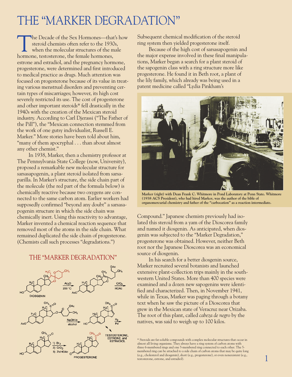# THE "MARKER DEGRADATION"

The Decade of the Sex Hormones—that's how<br>steroid chemists often refer to the 1930s,<br>when the molecular structures of the male steroid chemists often refer to the 1930s, hormone, testosterone, the female hormones, estrone and estradiol, and the pregnancy hormone, progesterone, were determined and first introduced to medical practice as drugs. Much attention was focused on progesterone because of its value in treating various menstrual disorders and preventing certain types of miscarriages; however, its high cost severely restricted its use. The cost of progesterone and other important steroids\* fell drastically in the 1940s with the creation of the Mexican steroid industry. According to Carl Djerassi ("The Father of the Pill"), the "Mexican connection stemmed from the work of one gutsy individualist, Russell E. Marker." More stories have been told about him, "many of them apocryphal . . . than about almost any other chemist."

In 1938, Marker, then a chemistry professor at The Pennsylvania State College (now, University), proposed a remarkable new molecular structure for sarsasapogenin, a plant steroid isolated from sarsaparilla. In Marker's structure, the side chain part of the molecule (the red part of the formula below) is chemically reactive because two oxygens are connected to the same carbon atom. Earlier workers had supposedly confirmed "beyond any doubt" a sarsasapogenin structure in which the side chain was chemically inert. Using this reactivity to advantage, Marker invented a chemical reaction sequence that removed most of the atoms in the side chain. What remained duplicated the side chain of progesterone. (Chemists call such processes "degradations.")

#### THE "MARKER DEGRADATION"



Subsequent chemical modification of the steroid ring system then yielded progesterone itself.

Because of the high cost of sarsasapogenin and the major expense involved in these final manipulations, Marker began a search for a plant steroid of the sapogenin class with a ring structure more like progesterone. He found it in Beth root, a plant of the lily family, which already was being used in a patent medicine called "Lydia Pinkham's



**Marker (right) with Dean Frank C. Whitmore in Pond Laboratory at Penn State. Whitmore (1938 ACS President), who had hired Marker, was the author of the bible of organomercurial chemistry and father of the "carbocation" as a reaction intermediate.**

Compound." Japanese chemists previously had isolated this steroid from a yam of the Dioscorea family and named it diosgenin. As anticipated, when diosgenin was subjected to the "Marker Degradation," progesterone was obtained. However, neither Beth root nor the Japanese Dioscorea was an economical source of diosgenin.

In his search for a better diosgenin source, Marker recruited several botanists and launched extensive plant-collection trips mainly in the southwestern United States. More than 400 species were examined and a dozen new sapogenins were identified and characterized. Then, in November 1941, while in Texas, Marker was paging through a botany text when he saw the picture of a Dioscorea that grew in the Mexican state of Veracruz near Orizaba. The root of this plant, called *cabeza de negro* by the natives, was said to weigh up to 100 kilos.

\* Steroids are fat-soluble compounds with complex molecular structures that occur in almost all living organisms. They always have a ring system of carbon atoms with three 6-membered rings and one 5-membered ring connected to each other. The 5 membered ring can be attached to a side chain of carbon atoms that may be quite long (e.g., cholesterol and diosgenin), short (e.g., progesterone), or even nonexistent (e.g., testosterone, estrone, and estradiol).

1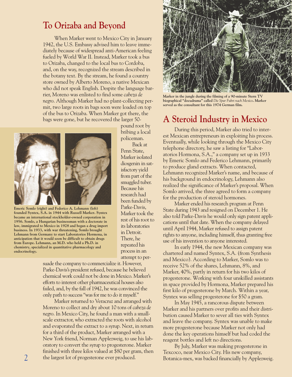### **To Orizaba and Beyond**

When Marker went to Mexico City in January 1942, the U.S. Embassy advised him to leave immediately because of widespread anti-American feeling fueled by World War II. Instead, Marker took a bus to Orizaba, changed to the local bus to Cordoba, and, on the way, recognized the stream described in the botany text. By the stream, he found a country store owned by Alberto Moreno, a native Mexican who did not speak English. Despite the language barrier, Moreno was enlisted to find some *cabeza de negro*. Although Marker had no plant-collecting permit, two large roots in bags soon were loaded on top of the bus to Orizaba. When Marker got there, the bags were gone, but he recovered the larger 50-

> pound root by bribing a local policeman.

Penn State, Marker isolated diosgenin in satisfactory yield from part of the smuggled tuber. Because his research had been funded by Parke-Davis, Marker took the rest of his root to its laboratories in Detroit. There, he repeated his process in an attempt to per-

Back at



**Emeric Somlo (right) and Federico A. Lehmann (left) founded Syntex, S.A. in 1944 with Russell Marker. Syntex became an international stockholder-owned corporation in 1956. Somlo, a Hungarian businessman with a doctorate in law, immigrated to Mexico in 1928 and began a drug import business. In 1933, with war threatening, Somlo brought Lehmann from Germany to start Laboratorios Hormona, in anticipation that it would soon be difficult to obtain drugs from Europe. Lehmann, an M.D. who held a Ph.D. in chemistry, specialized in quantitative pharmacology and endocrinology.**

suade the company to commercialize it. However, Parke-Davis's president refused, because he believed chemical work could not be done in Mexico. Marker's efforts to interest other pharmaceutical houses also failed, and, by the fall of 1942, he was convinced the only path to success"was for me to do it myself."

Marker returned to Veracruz and arranged with Moreno to collect and dry about 10 tons of *cabeza de negro*. In Mexico City, he found a man with a smallscale extractor, who extracted the roots with alcohol and evaporated the extract to a syrup. Next, in return for a third of the product, Marker arranged with a New York friend, Norman Applezweig, to use his laboratory to convert the syrup to progesterone. Marker finished with three kilos valued at \$80 per gram, then the largest lot of progesterone ever produced.



**Marker in the jungle during the filming of a 90-minute Stern TV biographical "docudrama" called** *Die Spur Fuhrt nach Mexico***. Marker served as the consultant for this 1974 German film.**

# **A Steroid Industry in Mexico**

During this period, Marker also tried to interest Mexican entrepreneurs in exploiting his process. Eventually, while looking through the Mexico City telephone directory, he saw a listing for "Laboratorios Hormona, S.A.," a company set up in 1933 by Emeric Somlo and Federico Lehmann, primarily to produce gland extracts. When contacted, Lehmann recognized Marker's name, and because of his background in endocrinology, Lehmann also realized the significance of Marker's proposal. When Somlo arrived, the three agreed to form a company for the production of steroid hormones.

Marker ended his research program at Penn State during 1943 and resigned on December 1. He also told Parke-Davis he would only sign patent applications until that date. When the company delayed until April 1944, Marker refused to assign patent rights to anyone, including himself, thus granting free use of his invention to anyone interested.

In early 1944, the new Mexican company was chartered and named Syntex, S.A. (from Synthesis and Mexico). According to Marker, Somlo was to receive 52% of the shares, Lehmann, 8%, and Marker, 40%, partly in return for his two kilos of progesterone. Working with four unskilled assistants in space provided by Hormona, Marker prepared his first kilo of progesterone by March. Within a year, Syntex was selling progesterone for \$50 a gram.

In May 1945, a rancorous dispute between Marker and his partners over profits and their distribution caused Marker to sever all ties with Syntex and leave the company. Syntex was unable to make more progesterone because Marker not only had done the key operations himself but had coded the reagent bottles and left no directions.

By July, Marker was making progesterone in Texcoco, near Mexico City. His new company, Botanica-mex, was backed financially by Applezweig.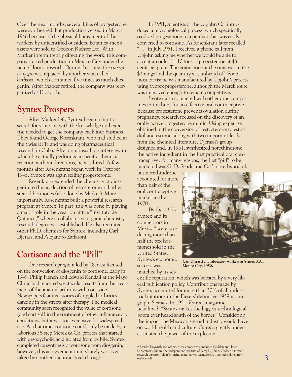Over the next months, several kilos of progesterone were synthesized, but production ceased in March 1946 because of the physical harassment of the workers by unidentified outsiders. Botanica-mex's assets were sold to Gedeon Richter Ltd. With Marker intermittently directing the work, this company started production in Mexico City under the name Hormonosynth. During this time, the *cabeza de negro* was replaced by another yam called *barbasco*, which contained five times as much diosgenin. After Marker retired, the company was reorganized as Diosynth.

## **Syntex Prospers**

After Marker left, Syntex began a frantic search for someone with the knowledge and expertise needed to get the company back into business. They found George Rosenkranz, who had studied at the Swiss ETH and was doing pharmaceutical research in Cuba. After an unusual job interview in which he actually performed a specific chemical reaction without directions, he was hired. A few months after Rosenkranz began work in October 1945, Syntex was again selling progesterone.

Rosenkranz extended the chemistry of diosgenin to the production of testosterone and other steroid hormones (also done by Marker). More importantly, Rosenkranz built a powerful research program at Syntex. In part, this was done by playing a major role in the creation of the "Instituto de Química," where a collaborative organic chemistry research degree was established. He also recruited other Ph.D. chemists for Syntex, including Carl Djerassi and Alejandro Zaffaroni.

## **Cortisone and the "Pill"**

One research program led by Djerassi focused on the conversion of diosgenin to cortisone. Early in 1949, Philip Hench and Edward Kendall at the Mayo Clinic had reported spectacular results from the treatment of rheumatoid arthritis with cortisone. Newspapers featured stories of crippled arthritics dancing in the streets after therapy. The medical community soon recognized the value of cortisone (and cortisol) in the treatment of other inflammatory conditions, but it was too expensive for widespread use. At that time, cortisone could only be made by a laborious 36-step Merck & Co. process that started with desoxycholic acid isolated from ox bile. Syntex completed its synthesis of cortisone from diosgenin; however, this achievement immediately was overtaken by another scientific breakthrough.

In 1951, scientists at the Upjohn Co. introduced a microbiological process, which specifically oxidized progesterone to a product that was easily converted to cortisone. As Rosenkranz later recalled, " . . . in July 1951, I received a phone call from Upjohn asking me whether we would be able to accept an order for 10 tons of progesterone at 48 cents per gram. The going price at the time was in the \$2 range and the quantity was unheard of." Soon, most cortisone was manufactured by Upjohn's process using Syntex progesterone, although the Merck route was improved enough to remain competitive.

Syntex also competed with other drug companies in the hunt for an effective oral contraceptive. Because progesterone prevents ovulation during pregnancy, research focused on the discovery of an orally active progesterone mimic. Using expertise obtained in the conversion of testosterone to estradiol and estrone, along with two important leads from the chemical literature, Djerassi's group designed and, in 1951, synthesized norethindrone, the active ingredient in the first practical oral contraceptive. For many reasons, the first "pill" to be marketed was G. D. Searle and Co.'s norethynodrel,

but norethindrone accounted for more than half of the oral contraceptive market in the 1970s.

By the 1950s, Syntex and its competitors in Mexico\* were producing more than half the sex hormones sold in the United States. Syntex's economic success was matched by its sci-

**Carl Djerassi and laboratory workers at Syntex S.A., Mexico City, 1950.**

entific reputation, which was boosted by a very liberal publication policy. Contributions made by Syntex accounted for more than 30% of all industrial citations in the Fiesers' definitive 1959 monograph, *Steroids*. In 1951, *Fortune* magazine headlined: "Syntex makes the biggest technological boom ever heard south of the border." Considering the impact the Mexican steroid industry would have on world health and culture, *Fortune* greatly underestimated the power of the explosion.

<sup>\*</sup> Besides Diosynth and others, these competitors included Glidden and, later, Laboratorios Julian, the independent institute of Percy L. Julian, Glidden's former research director. Julian's starting material was stigmasterol, a steroid isolated from soybean oil.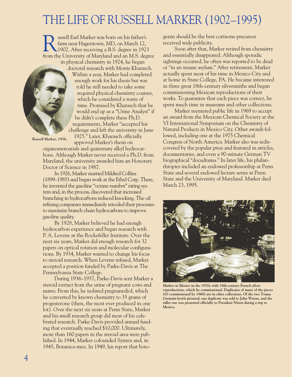# THE LIFE OF RUSSELL MARKER (1902–1995)

ussell Earl Marker was born on his father's farm near Hagerstown, MD, on March 12, 1902. After receiving a B.S. degree in 1923 from the University of Maryland and an M.S. degree in physical chemistry in 1924, he began



doctoral research with Morris Kharasch. Within a year, Marker had completed enough work for his thesis but was told he still needed to take some required physical chemistry courses, which he considered a waste of time. Promised by Kharasch that he would end up as a "Urine Analyst" if he didn't complete these Ph.D. requirements, Marker "accepted his challenge and left the university in June 1925." Later, Kharasch officially

**Russell Marker, 1936.**

approved Marker's thesis on organomercurials and quaternary alkyl hydrocarbons. Although Marker never received a Ph.D. from Maryland, the university awarded him an Honorary Doctor of Science in 1987.

In 1926, Marker married Mildred Collins (1899–1985) and began work at the Ethyl Corp. There, he invented the gasoline "octane number" rating system and, in the process, discovered that increased branching in hydrocarbons reduced knocking. The oil refining companies immediately retooled their processes to maximize branch chain hydrocarbons to improve gasoline quality.

By 1928, Marker believed he had enough hydrocarbon experience and began research with P. A. Levene at the Rockefeller Institute. Over the next six years, Marker did enough research for 32 papers on optical rotation and molecular configurations. By 1934, Marker wanted to change his focus to steroid research. When Levene refused, Marker accepted a position funded by Parke-Davis at The Pennsylvania State College.

During 1936–1937, Parke-Davis sent Marker a steroid extract from the urine of pregnant cows and mares. From this, he isolated pregnanediol, which he converted by known chemistry to 35 grams of progesterone (then, the most ever produced in one lot). Over the next six years at Penn State, Marker and his small research group did most of his celebrated research. Parke-Davis provided annual funding that eventually reached \$10,000. Ultimately, more than 160 papers in the steroid area were published. In 1944, Marker cofounded Syntex and, in 1945, Botanica-mex. In 1949, his report that botogenin should be the best cortisone precursor received wide publicity.

Soon after that, Marker retired from chemistry and essentially disappeared. Although sporadic sightings occurred, he often was reported to be dead or "in an insane asylum." After retirement, Marker actually spent most of his time in Mexico City and at home in State College, PA. He became interested in three great 18th-century silversmiths and began commissioning Mexican reproductions of their works. To guarantee that each piece was correct, he spent much time in museums and other collections.

Marker reentered public life in 1969 to accept an award from the Mexican Chemical Society at the VI International Symposium on the Chemistry of Natural Products in Mexico City. Other awards followed, including one at the 1975 Chemical Congress of North America. Marker also was rediscovered by the popular press and featured in articles, documentaries, and even a 90-minute German TV biographical "docudrama." In later life, his philanthropies included an endowed professorship at Penn State and several endowed lecture series at Penn State and the University of Maryland. Marker died March 23, 1995.



**Marker in Mexico in the 1970s with 18th-century French silver reproductions, which he commissioned. Duplicates of many of the pieces (63 commissioned by 1968) are in other collections. Of the two Tomas Germain bowls pictured, one duplicate was sold to John Wayne, and the taller one was presented officially to President Nixon during a trip to Mexico.**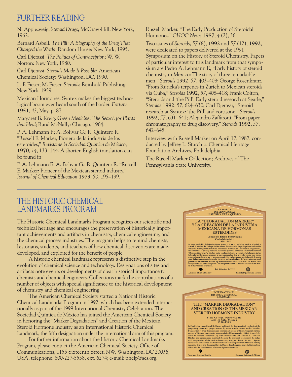### FURTHER READING

N. Applezweig. *Steroid Drugs*; McGraw-Hill: New York, 1962.

Bernard Asbell. *The Pill: A Biography of the Drug That Changed the World*; Random House: New York, 1995.

Carl Djerassi. *The Politics of Contraception*; W. W. Norton: New York, 1980.

Carl Djerassi. *Steroids Made It Possible*; American Chemical Society: Washington, DC, 1990.

L. F. Fieser; M. Fieser. *Steroids*; Reinhold Publishing: New York, 1959.

Mexican Hormones: Syntex makes the biggest technological boom ever heard south of the border. *Fortune* **1951**, *43*, May, p. 87.

Margaret B. Kreig. *Green Medicine: The Search for Plants that Heal*; Rand McNally: Chicago, 1964.

P. A. Lehmann F.; A. Bolivar G.; R. Quintero R. "Russell E. Marker, Pionero de la industria de los esteroides," *Revista de la Sociedad Química de México*; **1970**, *14*, 133–144. A shorter, English translation can be found in:

P. A. Lehmann F.; A. Bolivar G.; R. Quintero R. "Russell E. Marker: Pioneer of the Mexican steroid industry," *Journal of Chemical Education* **1973**, *50*, 195–199.

Russell Marker. "The Early Production of Steroidal Hormones," *CHOC News* **1987**, *4* (2), 36.

Two issues of *Steroids*, *57* (8), **1992** and *57* (12), **1992**, were dedicated to papers delivered at the 1991 Symposium on the History of Steroid Chemistry. Papers of particular interest to this landmark from that symposium are Pedro A. Lehmann F., "Early history of steroid chemistry in Mexico: The story of three remarkable men," *Steroids* **1992**, *57*, 403–408; George Rosenkranz, "From Ruzicka's terpenes in Zurich to Mexican steroids via Cuba," *Steroids* **1992**, *57*, 408–418; Frank Colton, "Steroids and 'the Pill': Early steroid research at Searle," *Steroids* **1992**, *57*, 624–630; Carl Djerassi, "Steroid research at Syntex: 'the Pill' and cortisone," *Steroids* **1992**, *57*, 631–641; Alejandro Zaffaroni, "From paper chromatography to drug discovery," *Steroids* **1992**, *57*, 642–648.

Interview with Russell Marker on April 17, 1987, conducted by Jeffrey L. Sturchio. Chemical Heritage Foundation Archives, Philadelphia.

The Russell Marker Collection; Archives of The Pennsylvania State University.

### THE HISTORIC CHEMICAL LANDMARKS PROGRAM

The Historic Chemical Landmarks Program recognizes our scientific and technical heritage and encourages the preservation of historically important achievements and artifacts in chemistry, chemical engineering, and the chemical process industries. The program helps to remind chemists, historians, students, and teachers of how chemical discoveries are made, developed, and exploited for the benefit of people.

A historic chemical landmark represents a distinctive step in the evolution of chemical science and technology. Designations of sites and artifacts note events or developments of clear historical importance to chemists and chemical engineers. Collections mark the contributions of a number of objects with special significance to the historical development of chemistry and chemical engineering.

The American Chemical Society started a National Historic Chemical Landmarks Program in 1992, which has been extended internationally as part of the 1999 International Chemistry Celebration. The Sociedad Química de México has joined the American Chemical Society in honoring the "Marker Degradation" and Creation of the Mexican Steroid Hormone Industry as an International Historic Chemical Landmark, the fifth designation under the international arm of this program.

For further information about the Historic Chemical Landmarks Program, please contact the American Chemical Society, Office of Communications, 1155 Sixteenth Street, NW, Washington, DC 20036, USA; telephone: 800-227-5558, ext. 6274; e-mail: nhclp@acs.org.